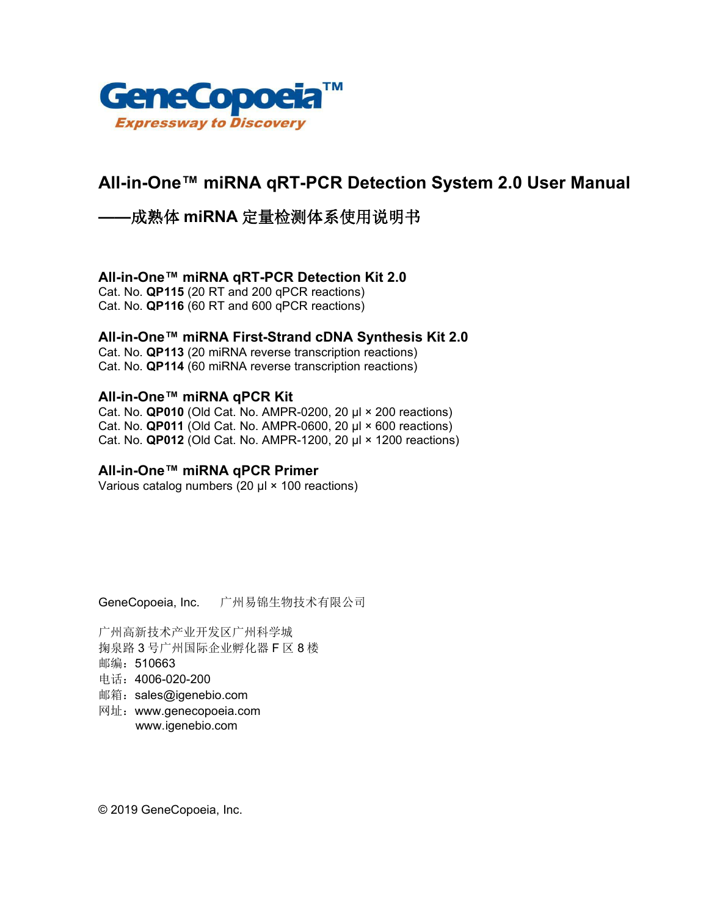

# **All-in-One™ miRNA qRT-PCR Detection System 2.0 User Manual**

## **——**成熟体 **miRNA** 定量检测体系使用说明书

#### **All-in-One™ miRNA qRT-PCR Detection Kit 2.0**

Cat. No. **QP115** (20 RT and 200 qPCR reactions) Cat. No. **QP116** (60 RT and 600 qPCR reactions)

#### **All-in-One™ miRNA First-Strand cDNA Synthesis Kit 2.0**

Cat. No. **QP113** (20 miRNA reverse transcription reactions) Cat. No. **QP114** (60 miRNA reverse transcription reactions)

#### **All-in-One™ miRNA qPCR Kit**

Cat. No. **QP010** (Old Cat. No. AMPR-0200, 20 μl × 200 reactions) Cat. No. **QP011** (Old Cat. No. AMPR-0600, 20 μl × 600 reactions) Cat. No. **QP012** (Old Cat. No. AMPR-1200, 20 μl × 1200 reactions)

#### **All-in-One™ miRNA qPCR Primer**

Various catalog numbers (20 μl × 100 reactions)

GeneCopoeia, Inc. 广州易锦生物技术有限公司

广州高新技术产业开发区广州科学城 掬泉路 3 号广州国际企业孵化器 F 区 8 楼 邮编: 510663 电话:4006-020-200 邮箱:[sales@igenebio.com](mailto:sales@fulengen.com) 网址: [www.genecopoeia.com](http://www.genecopoeia.com/) [www.igenebio.com](http://www.genecopoeia.com.cn/)

© 2019 GeneCopoeia, Inc.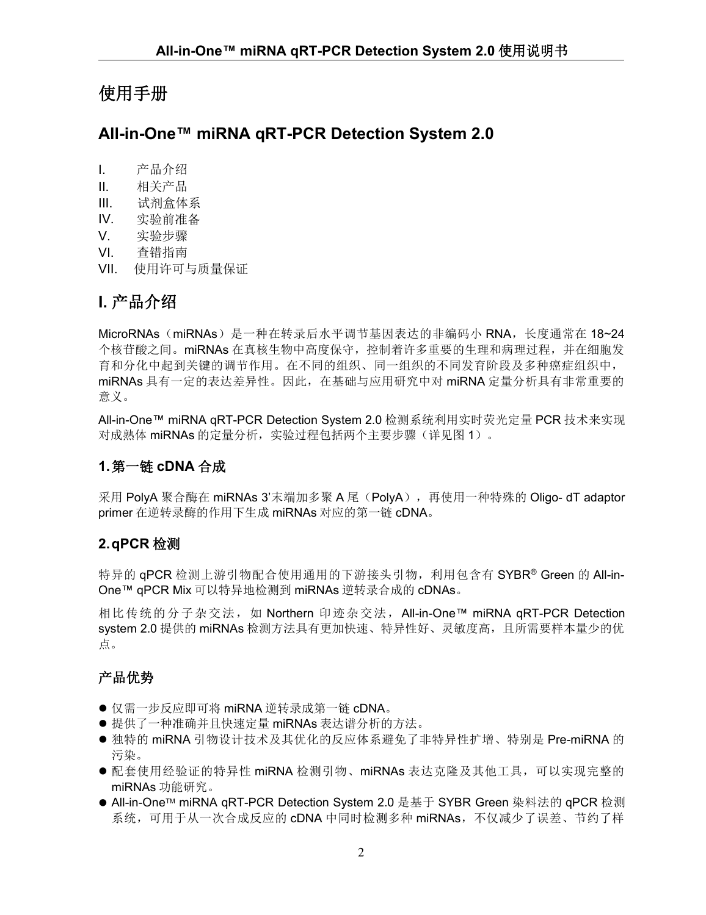# 使用手册

### **All-in-One™ miRNA qRT-PCR Detection System 2.0**

- I. 产品介绍
- II. 相关产品
- III. 试剂盒体系
- IV. 实验前准备
- V. 实验步骤
- VI. 查错指南
- VII. 使用许可与质量保证

# **I.** 产品介绍

MicroRNAs(miRNAs)是一种在转录后水平调节基因表达的非编码小 RNA,长度通常在 18~24 个核苷酸之间。miRNAs 在真核生物中高度保守,控制着许多重要的生理和病理过程,并在细胞发 育和分化中起到关键的调节作用。在不同的组织、同一组织的不同发育阶段及多种癌症组织中, miRNAs 具有一定的表达差异性。因此,在基础与应用研究中对 miRNA 定量分析具有非常重要的 意义。

All-in-One™ miRNA qRT-PCR Detection System 2.0 检测系统利用实时荧光定量 PCR 技术来实现 对成熟体 miRNAs 的定量分析, 实验过程包括两个主要步骤(详见图 1)。

### **1.**第一链 **cDNA** 合成

采用 PolyA 聚合酶在 miRNAs 3'末端加多聚 A 尾(PolyA),再使用一种特殊的 Oligo- dT adaptor primer 在逆转录酶的作用下生成 miRNAs 对应的第一链 cDNA。

### **2.qPCR** 检测

特异的 qPCR 检测上游引物配合使用通用的下游接头引物, 利用包含有 SYBR® Green 的 All-in-One™ qPCR Mix 可以特异地检测到 miRNAs 逆转录合成的 cDNAs。

相比传统的分子杂交法,如 Northern 印迹杂交法, All-in-One™ miRNA qRT-PCR Detection system 2.0 提供的 miRNAs 检测方法具有更加快速、特异性好、灵敏度高,且所需要样本量少的优 点。

### 产品优势

- 仅需一步反应即可将 miRNA 逆转录成第一链 cDNA。
- 提供了一种准确并且快速定量 miRNAs 表达谱分析的方法。
- 独特的 miRNA 引物设计技术及其优化的反应体系避免了非特异性扩增、特别是 Pre-miRNA 的 污染。
- 配套使用经验证的特异性 miRNA 检测引物、miRNAs 表达克降及其他工具, 可以实现完整的 miRNAs 功能研究。
- All-in-One TM miRNA qRT-PCR Detection System 2.0 是基于 SYBR Green染料法的 qPCR 检测 系统,可用于从一次合成反应的 cDNA 中同时检测多种 miRNAs, 不仅减少了误差、节约了样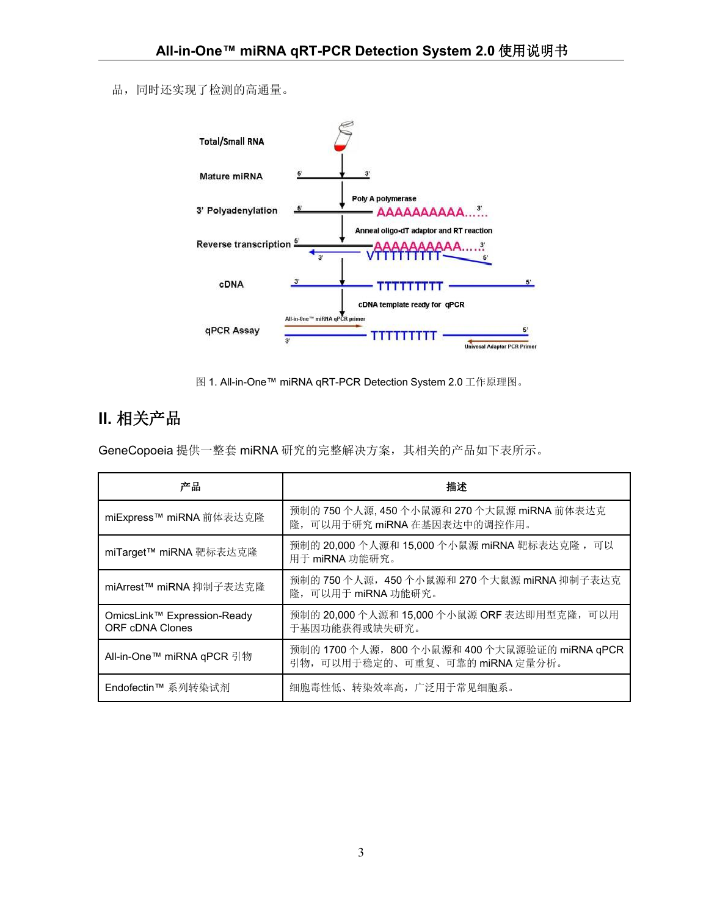品,同时还实现了检测的高通量。



图 1. All-in-One™ miRNA qRT-PCR Detection System 2.0 工作原理图。

# **II.** 相关产品

GeneCopoeia 提供一整套 miRNA 研究的完整解决方案,其相关的产品如下表所示。

| 产品                                             | 描述                                                                               |
|------------------------------------------------|----------------------------------------------------------------------------------|
| miExpress™ miRNA 前体表达克隆                        | 预制的 750 个人源, 450 个小鼠源和 270 个大鼠源 miRNA 前体表达克<br>隆,可以用于研究 miRNA 在基因表达中的调控作用。       |
| miTarget™ miRNA 靶标表达克隆                         | 预制的 20,000 个人源和 15,000 个小鼠源 miRNA 靶标表达克隆, 可以<br>用于 miRNA 功能研究。                   |
| miArrest™ miRNA 抑制子表达克隆                        | 预制的 750 个人源, 450 个小鼠源和 270 个大鼠源 miRNA 抑制子表达克<br>隆,可以用于 miRNA 功能研究。               |
| OmicsLink™ Expression-Ready<br>ORF cDNA Clones | 预制的 20,000 个人源和 15,000 个小鼠源 ORF 表达即用型克隆, 可以用<br>于基因功能获得或缺失研究。                    |
| All-in-One™ miRNA qPCR 引物                      | 预制的 1700 个人源, 800 个小鼠源和 400 个大鼠源验证的 miRNA qPCR<br>引物,可以用于稳定的、可重复、可靠的 miRNA 定量分析。 |
| Endofectin™ 系列转染试剂                             | 细胞毒性低、转染效率高, 广泛用于常见细胞系。                                                          |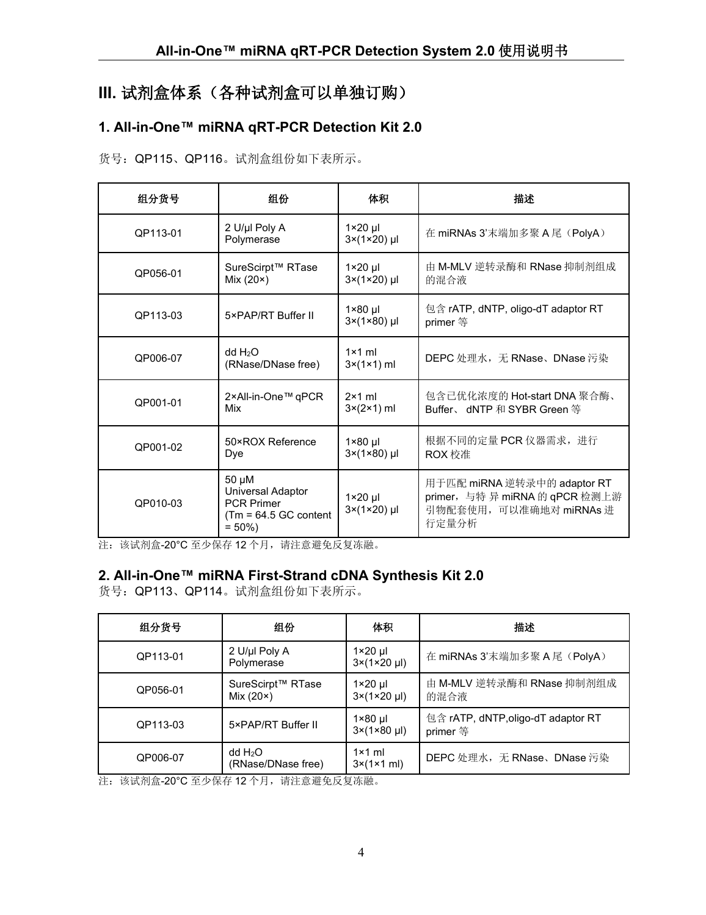# **III.** 试剂盒体系(各种试剂盒可以单独订购)

# **1. All-in-One™ miRNA qRT-PCR Detection Kit 2.0**

货号:QP115、QP116。试剂盒组份如下表所示。

| 组分货号                                | 组份                                                                                      | 体积                                                                               | 描述                                                                                              |  |
|-------------------------------------|-----------------------------------------------------------------------------------------|----------------------------------------------------------------------------------|-------------------------------------------------------------------------------------------------|--|
| QP113-01                            | 2 U/µl Poly A<br>$1 \times 20$ µl<br>$3\times(1\times20)$ µl<br>Polymerase              |                                                                                  | 在 miRNAs 3'末端加多聚 A 尾 (PolyA)                                                                    |  |
| QP056-01                            | SureScirpt <sup>™</sup> RTase<br>Mix $(20*)$                                            | 由 M-MLV 逆转录酶和 RNase 抑制剂组成<br>$1 \times 20$ µl<br>$3\times(1\times20)$ µl<br>的混合液 |                                                                                                 |  |
| QP113-03                            | 5×PAP/RT Buffer II                                                                      | $1 \times 80$ µl<br>$3\times(1\times80)$ µl                                      | 包含 rATP, dNTP, oligo-dT adaptor RT<br>primer 等                                                  |  |
| QP006-07                            | dd H <sub>2</sub> O<br>$1 \times 1$ ml<br>(RNase/DNase free)<br>$3\times(1\times1)$ ml  |                                                                                  | DEPC 处理水,无 RNase、DNase 污染                                                                       |  |
| QP001-01                            | 2×All-in-One™ qPCR<br>Mix                                                               | $2\times1$ ml<br>$3\times(2\times1)$ ml                                          | 包含已优化浓度的 Hot-start DNA 聚合酶、<br>Buffer、 dNTP 和 SYBR Green 等                                      |  |
| 50×ROX Reference<br>QP001-02<br>Dye |                                                                                         | $1 \times 80$ µl<br>$3\times(1\times80)$ µl                                      | 根据不同的定量 PCR 仪器需求, 进行<br>ROX 校准                                                                  |  |
| QP010-03                            | 50 µM<br>Universal Adaptor<br><b>PCR Primer</b><br>$(Tm = 64.5$ GC content<br>$= 50\%)$ | $1 \times 20$ µl<br>$3\times(1\times20)$ µl                                      | 用于匹配 miRNA 逆转录中的 adaptor RT<br>primer, 与特异 miRNA 的 qPCR 检测上游<br>引物配套使用,可以准确地对 miRNAs 进<br>行定量分析 |  |

注:该试剂盒-20°C 至少保存 12 个月,请注意避免反复冻融。

### **2. All-in-One™ miRNA First-Strand cDNA Synthesis Kit 2.0**

货号: QP113、QP114。试剂盒组份如下表所示。

| 组分货号     | 组份                                           | 体积                                                                                                   | 描述                           |  |
|----------|----------------------------------------------|------------------------------------------------------------------------------------------------------|------------------------------|--|
| QP113-01 | 2 U/µl Poly A<br>Polymerase                  | $1 \times 20$ µl<br>$3\times(1\times20 \text{ µ})$                                                   | 在 miRNAs 3'末端加多聚 A 尾 (PolyA) |  |
| QP056-01 | SureScirpt <sup>™</sup> RTase<br>Mix $(20x)$ | 由 M-MLV 逆转录酶和 RNase 抑制剂组成<br>$1 \times 20$ ul<br>的混合液<br>$3\times(1\times20 \text{ µ})$              |                              |  |
| QP113-03 | 5×PAP/RT Buffer II                           | 包含 rATP, dNTP, oligo-dT adaptor RT<br>$1 \times 80$ µl<br>$3\times(1\times80 \text{ µ})$<br>primer 等 |                              |  |
| QP006-07 | dd H <sub>2</sub> O<br>(RNase/DNase free)    | $1 \times 1$ ml<br>DEPC 处理水,无 RNase、DNase 污染<br>$3\times(1\times1$ ml)                               |                              |  |

注: 该试剂盒-20℃ 至少保存 12 个月, 请注意避免反复冻融。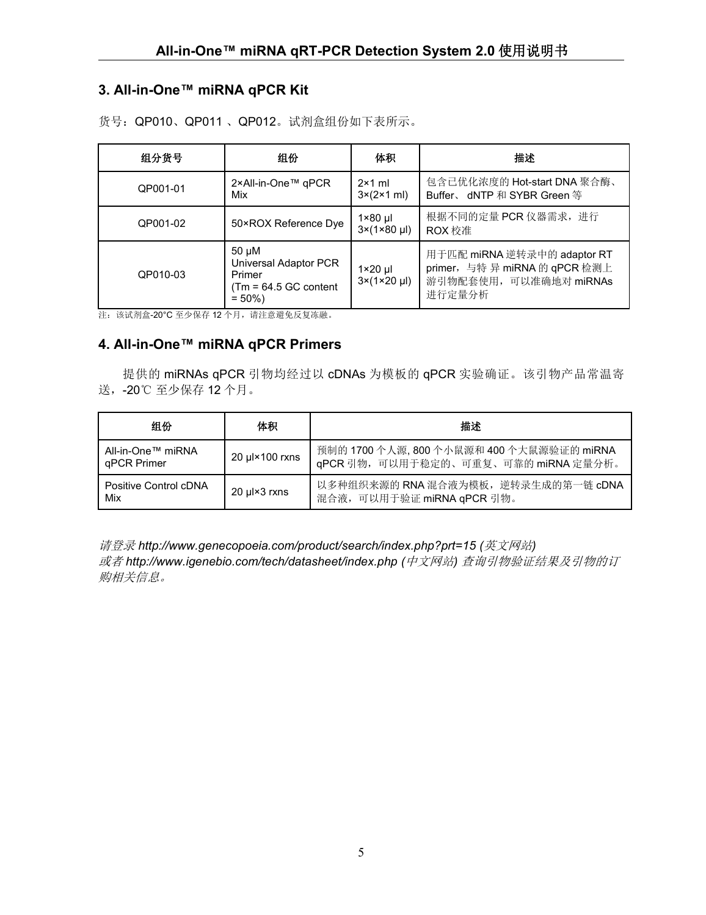### **3. All-in-One™ miRNA qPCR Kit**

货号: QP010、QP011 、QP012。试剂盒组份如下表所示。

| 组分货号     | 组份                                                                               | 体积                                                                              | 描述                                                                                               |
|----------|----------------------------------------------------------------------------------|---------------------------------------------------------------------------------|--------------------------------------------------------------------------------------------------|
| QP001-01 | 2×All-in-One™ qPCR<br>Mix                                                        | $2\times1$ ml<br>$3\times(2\times1$ ml)                                         | 包含已优化浓度的 Hot-start DNA 聚合酶、<br>Buffer、 dNTP 和 SYBR Green 等                                       |
| QP001-02 | 50×ROX Reference Dye                                                             | 根据不同的定量 PCR 仪器需求,进行<br>$1 \times 80$ µl<br>$3\times(1\times80 \,\mu)$<br>ROX 校准 |                                                                                                  |
| QP010-03 | 50 µM<br>Universal Adaptor PCR<br>Primer<br>$(Tm = 64.5$ GC content<br>$= 50\%)$ | $1 \times 20$ µl<br>$3\times(1\times20 \text{ µ})$                              | 用于匹配 miRNA 逆转录中的 adaptor RT<br>primer, 与特 异 miRNA 的 qPCR 检测上<br>游引物配套使用, 可以准确地对 miRNAs<br>进行定量分析 |

注: 该试剂盒-20℃ 至少保存 12 个月, 请注意避免反复冻融。

# **4. All-in-One™ miRNA qPCR Primers**

提供的 miRNAs qPCR 引物均经过以 cDNAs 为模板的 qPCR 实验确证。该引物产品常温寄 送,-20℃ 至少保存 12 个月。

| 组份                               | 体积                            | 描述                                                                                |
|----------------------------------|-------------------------------|-----------------------------------------------------------------------------------|
| All-in-One™ miRNA<br>gPCR Primer | $20 \mu$ k $100 \text{ rxns}$ | 预制的 1700 个人源, 800 个小鼠源和 400 个大鼠源验证的 miRNA<br>qPCR 引物, 可以用于稳定的、可重复、可靠的 miRNA 定量分析。 |
| Positive Control cDNA<br>Mix     | 20 µl×3 rxns                  | 以多种组织来源的 RNA 混合液为模板, 逆转录生成的第一链 cDNA<br>混合液,可以用于验证 miRNA qPCR 引物。                  |

请登录 *<http://www.genecopoeia.com/product/search/index.php?prt=15> (*英文网站*)* 或者 *http://www.igenebio.com/tech/datasheet/index.php (*中文网站*)* 查询引物验证结果及引物的订 购相关信息。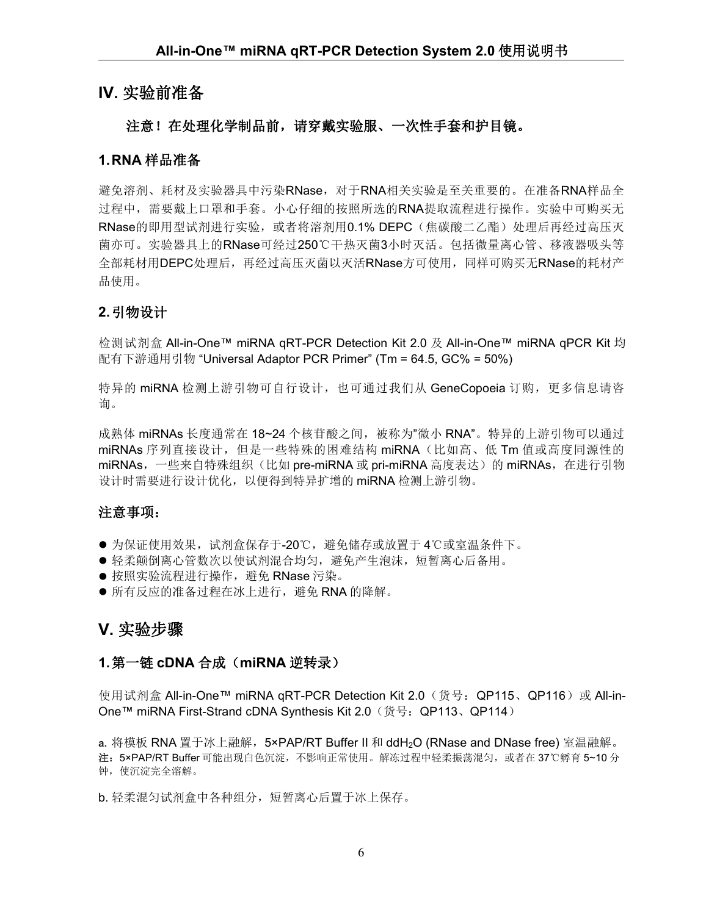### **IV.** 实验前准备

### 注意!在处理化学制品前,请穿戴实验服、一次性手套和护目镜。

#### **1.RNA** 样品准备

避免溶剂、耗材及实验器具中污染RNase,对于RNA相关实验是至关重要的。在准备RNA样品全 过程中,需要戴上口罩和手套。小心仔细的按照所选的RNA提取流程进行操作。实验中可购买无 RNase的即用型试剂进行实验, 或者将溶剂用0.1% DEPC(焦碳酸二乙酯)处理后再经过高压灭 菌亦可。实验器具上的RNase可经过250℃干热灭菌3小时灭活。包括微量离心管、移液器吸头等 全部耗材用DEPC处理后,再经过高压灭菌以灭活RNase方可使用,同样可购买无RNase的耗材产 品使用。

#### **2.**引物设计

检测试剂盒 All-in-One™ miRNA qRT-PCR Detection Kit 2.0 及 All-in-One™ miRNA qPCR Kit 均 配有下游通用引物 "Universal Adaptor PCR Primer" (Tm = 64.5, GC% = 50%)

特异的 miRNA 检测上游引物可自行设计,也可通过我们从 GeneCopoeia 订购,更多信息请咨 **询。**

成熟体 miRNAs 长度通常在 18~24 个核苷酸之间,被称为"微小 RNA"。特异的上游引物可以通过 miRNAs 序列直接设计,但是一些特殊的困难结构 miRNA(比如高、低 Tm 值或高度同源性的 miRNAs,一些来自特殊组织(比如 pre-miRNA 或 pri-miRNA 高度表达)的 miRNAs,在进行引物 设计时需要进行设计优化,以便得到特异扩增的 miRNA 检测上游引物。

### 注意事项:

- 为保证使用效果, 试剂盒保存于-20℃, 避免储存或放置于4℃或室温条件下。
- 轻柔颠倒离心管数次以使试剂混合均匀,避免产生泡沫,短暂离心后备用。
- 按照实验流程讲行操作, 避免 RNase 污染。
- 所有反应的准备过程在冰上进行, 避免 RNA 的降解。

### **V.** 实验步骤

### **1.**第一链 **cDNA** 合成(**miRNA** 逆转录)

使用试剂盒 All-in-One™ miRNA qRT-PCR Detection Kit 2.0 (货号: QP115、QP116) 或 All-in-One™ miRNA First-Strand cDNA Synthesis Kit 2.0 (货号: QP113、QP114)

a. 将模板 RNA 置于冰上融解, 5×PAP/RT Buffer II 和 ddH<sub>2</sub>O (RNase and DNase free) 室温融解。 注: 5×PAP/RT Buffer 可能出现白色沉淀, 不影响正常使用。解冻过程中轻柔振荡混匀, 或者在 37℃孵育 5~10 分 钟,使沉淀完全溶解。

b. 轻柔混匀试剂盒中各种组分, 短暂离心后置于冰上保存。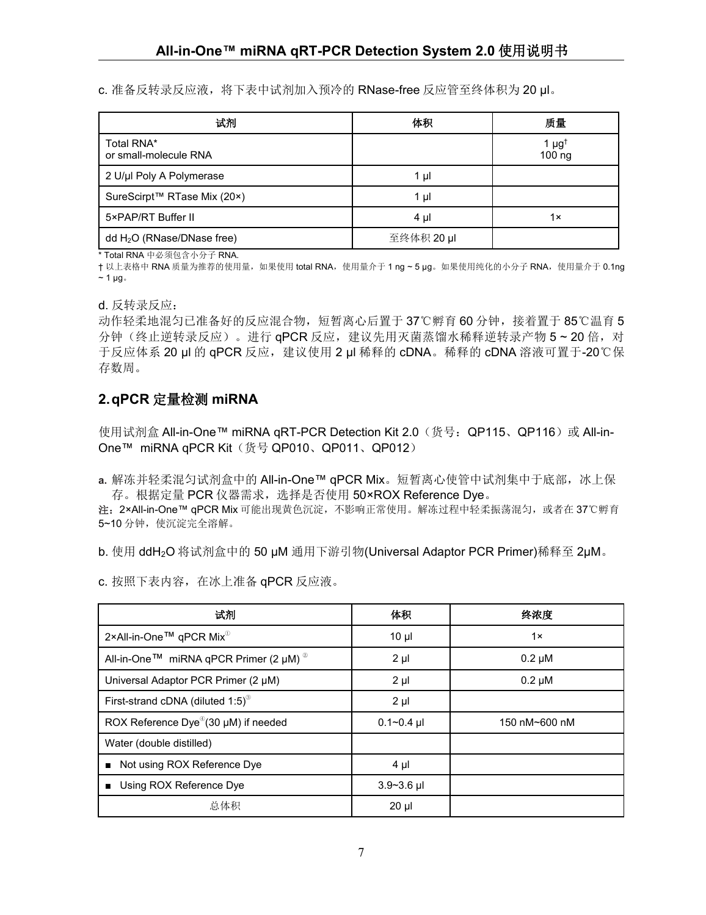c. 准备反转录反应液,将下表中试剂加入预冷的 RNase-free 反应管至终体积为 20 μl。

| 试剂                                     | 体积             | 质量                              |
|----------------------------------------|----------------|---------------------------------|
| Total RNA*<br>or small-molecule RNA    |                | $1 \mu g^{\dagger}$<br>$100$ ng |
| 2 U/µl Poly A Polymerase               | 1 µl           |                                 |
| SureScirpt™ RTase Mix (20×)            | 1 <sub>µ</sub> |                                 |
| 5×PAP/RT Buffer II                     | $4 \mu$        | 1x                              |
| dd H <sub>2</sub> O (RNase/DNase free) | 至终体积 20 µl     |                                 |

\* Total RNA 中必须包含小分子 RNA.

† 以上表格中 RNA 质量为推荐的使用量,如果使用 total RNA,使用量介于 1 ng ~ 5 µg。如果使用纯化的小分子 RNA,使用量介于 0.1ng  $\sim$  1 µg.

d. 反转录反应:

动作轻柔地混匀已准备好的反应混合物,短暂离心后置于 37℃孵育 60 分钟,接着置于 85℃温育 5 分钟(终止逆转录反应)。 进行 qPCR 反应,建议先用灭菌蒸馏水稀释逆转录产物 5 ~ 20 倍, 对 于反应体系 20 μl 的 qPCR 反应, 建议使用 2 μl 稀释的 cDNA。稀释的 cDNA 溶液可置于-20℃保 存数周。

### **2.qPCR** 定量检测 **miRNA**

使用试剂盒 All-in-One™ miRNA qRT-PCR Detection Kit 2.0(货号:QP115、QP116)或 All-in- One™ miRNA qPCR Kit(货号 QP010、QP011、QP012)

a. 解冻并轻柔混匀试剂盒中的 All-in-One™ qPCR Mix。短暂离心使管中试剂集中于底部, 冰上保 存。根据定量 PCR 仪器需求,选择是否使用 50×ROX Reference Dye。

注:2×All-in-One™ qPCR Mix 可能出现黄色沉淀,不影响正常使用。解冻过程中轻柔振荡混匀,或者在 37℃孵育 5~10分钟,使沉淀完全溶解。

b. 使用 ddH2O 将试剂盒中的 50 µM 通用下游引物(Universal Adaptor PCR Primer)稀释至 2µM。

c. 按照下表内容, 在冰上准备 qPCR 反应液。

| 试剂                                                    | 体积             | 终浓度           |
|-------------------------------------------------------|----------------|---------------|
| 2×All-in-One™ qPCR Mix <sup>®</sup>                   | $10 \mu$       | $1 \times$    |
| All-in-One™ miRNA qPCR Primer (2 µM) <sup>2</sup>     | $2 \mu$        | $0.2 \mu M$   |
| Universal Adaptor PCR Primer (2 µM)                   | $2 \mu$        | $0.2 \mu M$   |
| First-strand cDNA (diluted 1:5) <sup>®</sup>          | $2 \mu$        |               |
| ROX Reference $Dye^{\circledast}(30 \mu M)$ if needed | $0.1 - 0.4$ µl | 150 nM~600 nM |
| Water (double distilled)                              |                |               |
| Not using ROX Reference Dye                           | $4 \mu$        |               |
| <b>Using ROX Reference Dye</b>                        | $3.9 - 3.6$ µl |               |
| 总体积                                                   | $20 \mu$       |               |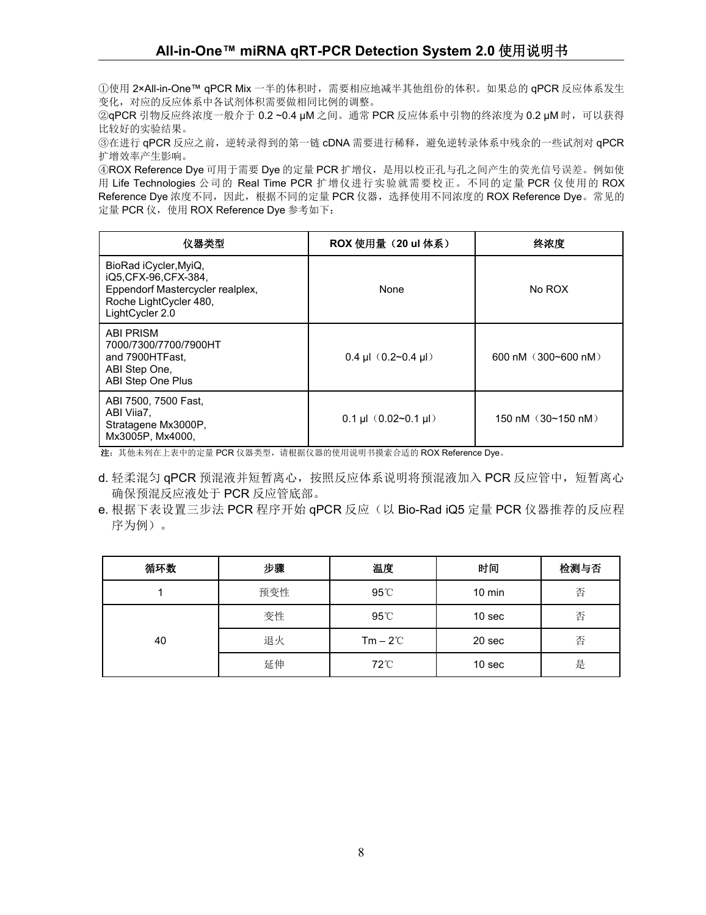①使用 2×All-in-One™ qPCR Mix 一半的体积时,需要相应地减半其他组份的体积。如果总的 qPCR 反应体系发生 变化,对应的反应体系中各试剂体积需要做相同比例的调整。

②qPCR 引物反应终浓度一般介于 0.2 ~0.4 μM 之间。通常 PCR 反应体系中引物的终浓度为 0.2 μM 时, 可以获得 比较好的实验结果。

③在进行 qPCR 反应之前,逆转录得到的第一链 cDNA 需要进行稀释,避免逆转录体系中残余的一些试剂对 qPCR 扩增效率产生影响。

④ROX Reference Dye 可用于需要 Dye 的定量 PCR 扩增仪,是用以校正孔与孔之间产生的荧光信号误差。例如使 用 Life Technologies 公司的 Real Time PCR 扩增仪进行实验就需要校正。不同的定量 PCR 仪使用的 ROX Reference Dye 浓度不同,因此,根据不同的定量 PCR 仪器,选择使用不同浓度的 ROX Reference Dye。常见的 定量 PCR 仪, 使用 ROX Reference Dye 参考如下:

| 仪器类型                                                                                                                          | <b>ROX</b> 使用量 (20 ul 体系)                      | 终浓度                     |
|-------------------------------------------------------------------------------------------------------------------------------|------------------------------------------------|-------------------------|
| BioRad iCycler, MyiQ,<br>iQ5,CFX-96,CFX-384,<br>Eppendorf Mastercycler realplex,<br>Roche LightCycler 480,<br>LightCycler 2.0 | None                                           | No ROX                  |
| <b>ABI PRISM</b><br>7000/7300/7700/7900HT<br>and 7900HTFast.<br>ABI Step One,<br>ABI Step One Plus                            | 0.4 µl $(0.2 \sim 0.4$ µl)                     | 600 nM $(300 - 600)$ nM |
| ABI 7500, 7500 Fast,<br>ABI Viia7,<br>Stratagene Mx3000P,<br>Mx3005P, Mx4000,                                                 | $0.1 \text{ µ} (0.02 \text{ m} 0.1 \text{ µ})$ | 150 nM $(30-150)$ nM    |

注:其他未列在上表中的定量 PCR 仪器类型,请根据仪器的使用说明书摸索合适的 ROX Reference Dye。

- d. 轻柔混匀 qPCR 预混液并短暂离心,按照反应体系说明将预混液加入 PCR 反应管中, 短暂离心 确保预混反应液处于 PCR 反应管底部。
- e. 根据下表设置三步法 PCR 程序开始 qPCR 反应(以 Bio-Rad iQ5 定量 PCR 仪器推荐的反应程 序为例)。

| 循环数 | 步骤  | 温度             | 时间                | 检测与否 |
|-----|-----|----------------|-------------------|------|
|     | 预变性 | 95°C           | $10 \text{ min}$  | 否    |
| 40  | 变性  | 95°C           | 10 <sub>sec</sub> | 否    |
|     | 退火  | $Tm-2^{\circ}$ | 20 sec            | 否    |
|     | 延伸  | 72°C           | 10 sec            | 是    |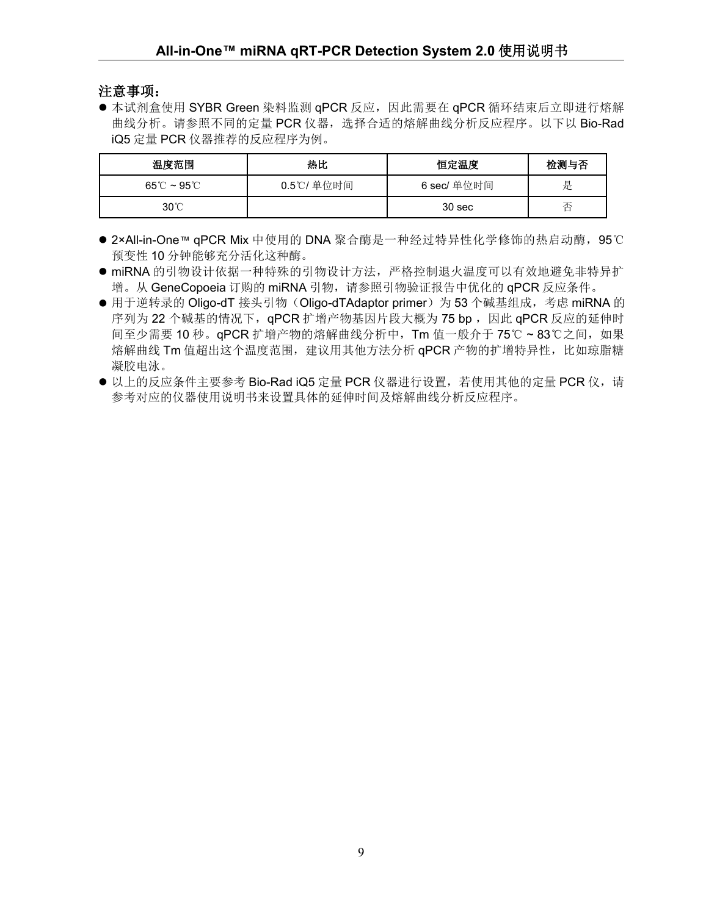#### 注意事项:

● 本试剂盒使用 SYBR Green 染料监测 qPCR 反应, 因此需要在 qPCR 循环结束后立即进行熔解 曲线分析。请参照不同的定量 PCR 仪器,选择合适的熔解曲线分析反应程序。以下以 Bio-Rad iQ5 定量 PCR 仪器推荐的反应程序为例。

| 温度范围                             | 热比         | 恒定温度        | 检测与否 |
|----------------------------------|------------|-------------|------|
| $65^{\circ}$ C ~ 95 $^{\circ}$ C | 0.5℃/ 单位时间 | 6 sec/ 单位时间 | È    |
| $30^{\circ}$                     |            | 30 sec      |      |

- 2×All-in-One™ qPCR Mix 中使用的 DNA 聚合酶是一种经过特异性化学修饰的热启动酶, 95℃ 预变性 10 分钟能够充分活化这种酶。
- miRNA 的引物设计依据一种特殊的引物设计方法,严格控制退火温度可以有效地避免非特异扩 增。从 GeneCopoeia 订购的 miRNA 引物,请参照引物验证报告中优化的 qPCR 反应条件。
- 用于逆转录的 Oligo-dT 接头引物(Oligo-dTAdaptor primer)为 53 个碱基组成,考虑 miRNA 的 序列为 22 个碱基的情况下, qPCR 扩增产物基因片段大概为 75 bp, 因此 qPCR 反应的延伸时 间至少需要 10 秒。qPCR 扩增产物的熔解曲线分析中, Tm 值一般介于 75℃ ~ 83℃之间, 如果 熔解曲线 Tm 值超出这个温度范围,建议用其他方法分析 qPCR 产物的扩增特异性,比如琼脂糖 凝胶电泳。
- 以上的反应条件主要参考 Bio-Rad iQ5 定量 PCR 仪器进行设置, 若使用其他的定量 PCR 仪, 请 参考对应的仪器使用说明书来设置具体的延伸时间及熔解曲线分析反应程序。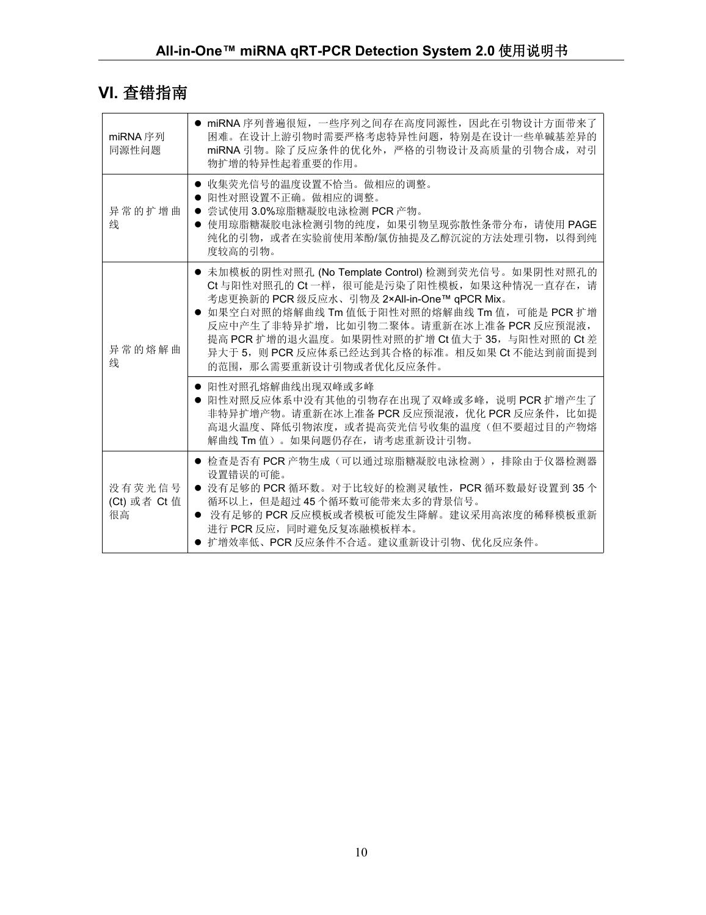# **VI.** 查错指南

| miRNA 序列<br>同源性问题            | ● miRNA 序列普遍很短,一些序列之间存在高度同源性,因此在引物设计方面带来了<br>困难。在设计上游引物时需要严格考虑特异性问题,特别是在设计一些单碱基差异的<br>miRNA 引物。除了反应条件的优化外,严格的引物设计及高质量的引物合成,对引<br>物扩增的特异性起着重要的作用。                                                                                                                                                                                                                               |
|------------------------------|--------------------------------------------------------------------------------------------------------------------------------------------------------------------------------------------------------------------------------------------------------------------------------------------------------------------------------------------------------------------------------|
| 异常的扩增曲<br>线                  | ● 收集荧光信号的温度设置不恰当。做相应的调整。<br>● 阳性对照设置不正确。做相应的调整。<br>● 尝试使用 3.0%琼脂糖凝胶电泳检测 PCR 产物。<br>● 使用琼脂糖凝胶电泳检测引物的纯度, 如果引物呈现弥散性条带分布, 请使用 PAGE<br>纯化的引物,或者在实验前使用苯酚/氯仿抽提及乙醇沉淀的方法处理引物,以得到纯<br>度较高的引物。                                                                                                                                                                                            |
| 异常的熔解曲<br>线                  | ● 未加模板的阴性对照孔 (No Template Control) 检测到荧光信号。如果阴性对照孔的<br>Ct 与阳性对照孔的 Ct 一样, 很可能是污染了阳性模板, 如果这种情况一直存在, 请<br>考虑更换新的 PCR 级反应水、引物及 2×All-in-One™ qPCR Mix。<br>● 如果空白对照的熔解曲线 Tm 值低于阳性对照的熔解曲线 Tm 值, 可能是 PCR 扩增<br>反应中产生了非特异扩增,比如引物二聚体。请重新在冰上准备 PCR 反应预混液,<br>提高 PCR 扩增的退火温度。如果阴性对照的扩增 Ct 值大于 35, 与阳性对照的 Ct 差<br>异大于 5, 则 PCR 反应体系已经达到其合格的标准。相反如果 Ct 不能达到前面提到<br>的范围, 那么需要重新设计引物或者优化反应条件。 |
|                              | ● 阳性对照孔熔解曲线出现双峰或多峰<br>● 阳性对照反应体系中没有其他的引物存在出现了双峰或多峰, 说明 PCR 扩增产生了<br>非特异扩增产物。请重新在冰上准备 PCR 反应预混液, 优化 PCR 反应条件, 比如提<br>高退火温度、降低引物浓度, 或者提高荧光信号收集的温度(但不要超过目的产物熔<br>解曲线 Tm 值) 。如果问题仍存在, 请考虑重新设计引物。                                                                                                                                                                                   |
| 没有荧光信号<br>(Ct) 或者 Ct 值<br>很高 | ● 检查是否有 PCR 产物生成(可以通过琼脂糖凝胶电泳检测),排除由于仪器检测器<br>设置错误的可能。<br>● 没有足够的 PCR 循环数。对于比较好的检测灵敏性, PCR 循环数最好设置到35个<br>循环以上,但是超过45个循环数可能带来太多的背景信号。<br>● 没有足够的 PCR 反应模板或者模板可能发生降解。建议采用高浓度的稀释模板重新<br>进行 PCR 反应,同时避免反复冻融模板样本。<br>● 扩增效率低、PCR 反应条件不合适。建议重新设计引物、优化反应条件。                                                                                                                           |